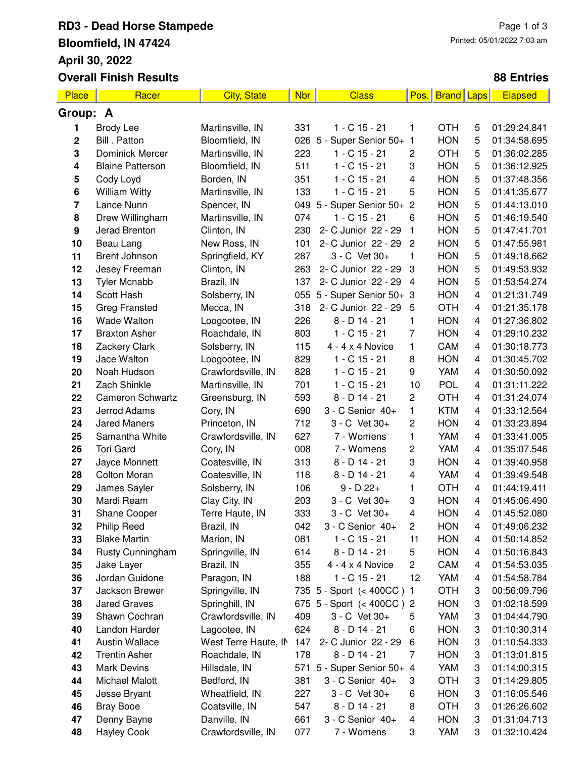### **RD3 - Dead Horse Stampede Bloomfield, IN 47424 April 30, 2022 Overall Finish Results**

### **88 Entries**

| Place            | Racer                   | <b>City, State</b>   | <b>Nbr</b> | <b>Class</b>              | Pos.                    | <b>Brand Laps</b> |                         | <b>Elapsed</b> |
|------------------|-------------------------|----------------------|------------|---------------------------|-------------------------|-------------------|-------------------------|----------------|
| Group: A         |                         |                      |            |                           |                         |                   |                         |                |
| 1                | <b>Brody Lee</b>        | Martinsville, IN     | 331        | $1 - C$ 15 - 21           | 1                       | <b>OTH</b>        | 5                       | 01:29:24.841   |
| 2                | Bill . Patton           | Bloomfield, IN       |            | 026 5 - Super Senior 50+  | 1                       | <b>HON</b>        | 5                       | 01:34:58.695   |
| 3                | <b>Dominick Mercer</b>  | Martinsville, IN     | 223        | $1 - C$ 15 - 21           | $\overline{c}$          | <b>OTH</b>        | 5                       | 01:36:02.285   |
| 4                | <b>Blaine Patterson</b> | Bloomfield, IN       | 511        | $1 - C$ 15 - 21           | 3                       | <b>HON</b>        | 5                       | 01:36:12.925   |
| 5                | Cody Loyd               | Borden, IN           | 351        | $1 - C$ 15 - 21           | $\overline{\mathbf{4}}$ | <b>HON</b>        | 5                       | 01:37:48.356   |
| 6                | <b>William Witty</b>    | Martinsville, IN     | 133        | $1 - C$ 15 - 21           | 5                       | <b>HON</b>        | 5                       | 01:41:35.677   |
| 7                | Lance Nunn              | Spencer, IN          | 049        | 5 - Super Senior 50+      | $\overline{c}$          | <b>HON</b>        | 5                       | 01:44:13.010   |
| 8                | Drew Willingham         | Martinsville, IN     | 074        | $1 - C$ 15 - 21           | 6                       | <b>HON</b>        | 5                       | 01:46:19.540   |
| $\boldsymbol{9}$ | Jerad Brenton           | Clinton, IN          | 230        | 2- C Junior 22 - 29       | $\mathbf{1}$            | <b>HON</b>        | 5                       | 01:47:41.701   |
| 10               | Beau Lang               | New Ross, IN         | 101        | 2- C Junior 22 - 29       | $\overline{2}$          | <b>HON</b>        | 5                       | 01:47:55.981   |
| 11               | <b>Brent Johnson</b>    | Springfield, KY      | 287        | 3 - C Vet 30+             | 1                       | <b>HON</b>        | 5                       | 01:49:18.662   |
| 12               | Jesey Freeman           | Clinton, IN          | 263        | 2- C Junior 22 - 29       | 3                       | <b>HON</b>        | 5                       | 01:49:53.932   |
| 13               | <b>Tyler Mcnabb</b>     | Brazil, IN           | 137        | 2- C Junior 22 - 29       | $\overline{4}$          | <b>HON</b>        | 5                       | 01:53:54.274   |
| 14               | Scott Hash              | Solsberry, IN        | 055        | 5 - Super Senior 50+ 3    |                         | <b>HON</b>        | $\overline{\mathbf{4}}$ | 01:21:31.749   |
| 15               | <b>Greg Fransted</b>    | Mecca, IN            | 318        | 2- C Junior 22 - 29       | 5                       | <b>OTH</b>        | 4                       | 01:21:35.178   |
| 16               | <b>Wade Walton</b>      | Loogootee, IN        | 226        | $8 - D$ 14 - 21           | 1                       | <b>HON</b>        | 4                       | 01:27:36.802   |
| 17               | <b>Braxton Asher</b>    | Roachdale, IN        | 803        | $1 - C$ 15 - 21           | $\overline{7}$          | <b>HON</b>        | $\overline{4}$          | 01:29:10.232   |
| 18               | Zackery Clark           | Solsberry, IN        | 115        | $4 - 4 \times 4$ Novice   | 1                       | CAM               | 4                       | 01:30:18.773   |
| 19               | Jace Walton             | Loogootee, IN        | 829        | $1 - C$ 15 - 21           | 8                       | <b>HON</b>        | 4                       | 01:30:45.702   |
| 20               | Noah Hudson             | Crawfordsville, IN   | 828        | $1 - C$ 15 - 21           | 9                       | YAM               | 4                       | 01:30:50.092   |
| 21               | Zach Shinkle            | Martinsville, IN     | 701        | $1 - C$ 15 - 21           | 10                      | <b>POL</b>        | 4                       | 01:31:11.222   |
| 22               | <b>Cameron Schwartz</b> | Greensburg, IN       | 593        | $8 - D$ 14 - 21           | $\overline{c}$          | <b>OTH</b>        | 4                       | 01:31:24.074   |
| 23               | Jerrod Adams            | Cory, IN             | 690        | 3 - C Senior 40+          | 1                       | <b>KTM</b>        | 4                       | 01:33:12.564   |
| 24               | <b>Jared Maners</b>     | Princeton, IN        | 712        | 3 - C Vet 30+             | 2                       | <b>HON</b>        | 4                       | 01:33:23.894   |
| 25               | Samantha White          | Crawfordsville, IN   | 627        | 7 - Womens                | 1                       | YAM               | 4                       | 01:33:41.005   |
| 26               | <b>Tori Gard</b>        | Cory, IN             | 008        | 7 - Womens                | 2                       | YAM               | 4                       | 01:35:07.546   |
| 27               | Jayce Monnett           | Coatesville, IN      | 313        | $8 - D$ 14 - 21           | 3                       | <b>HON</b>        | 4                       | 01:39:40.958   |
| 28               | <b>Colton Moran</b>     | Coatesville, IN      | 118        | $8 - D$ 14 - 21           | 4                       | YAM               | 4                       | 01:39:49.548   |
| 29               | James Sayler            | Solsberry, IN        | 106        | $9 - D 22 +$              | 1                       | <b>OTH</b>        | 4                       | 01:44:19.411   |
| 30               | Mardi Ream              | Clay City, IN        | 203        | 3 - C Vet 30+             | 3                       | <b>HON</b>        | 4                       | 01:45:06.490   |
| 31               | <b>Shane Cooper</b>     | Terre Haute, IN      | 333        | 3 - C Vet 30+             | $\overline{4}$          | <b>HON</b>        | 4                       | 01:45:52.080   |
| 32               | Philip Reed             | Brazil, IN           | 042        | 3 - C Senior 40+          | 2                       | <b>HON</b>        | 4                       | 01:49:06.232   |
| 33               | <b>Blake Martin</b>     | Marion, IN           | 081        | 1 - C 15 - 21             | 11                      | <b>HON</b>        | 4                       | 01:50:14.852   |
| 34               | Rusty Cunningham        | Springville, IN      | 614        | $8 - D$ 14 - 21           | 5                       | <b>HON</b>        | 4                       | 01:50:16.843   |
| 35               | Jake Layer              | Brazil, IN           | 355        | $4 - 4 \times 4$ Novice   | $\overline{\mathbf{c}}$ | CAM               | 4                       | 01:54:53.035   |
| 36               | Jordan Guidone          | Paragon, IN          | 188        | 1 - C 15 - 21             | 12                      | YAM               | 4                       | 01:54:58.784   |
| 37               | Jackson Brewer          | Springville, IN      |            | 735 5 - Sport (< 400CC) 1 |                         | <b>OTH</b>        | 3                       | 00:56:09.796   |
| 38               | <b>Jared Graves</b>     | Springhill, IN       |            | 675 5 - Sport (< 400CC) 2 |                         | <b>HON</b>        | 3                       | 01:02:18.599   |
| 39               | Shawn Cochran           | Crawfordsville, IN   | 409        | 3 - C Vet 30+             | 5                       | YAM               | 3                       | 01:04:44.790   |
| 40               | Landon Harder           | Lagootee, IN         | 624        | $8 - D$ 14 - 21           | 6                       | <b>HON</b>        | 3                       | 01:10:30.314   |
| 41               | <b>Austin Wallace</b>   | West Terre Haute, IN | 147        | 2- C Junior 22 - 29       | 6                       | <b>HON</b>        | 3                       | 01:10:54.333   |
| 42               | <b>Trentin Asher</b>    | Roachdale, IN        | 178        | $8 - D$ 14 - 21           | $\overline{7}$          | <b>HON</b>        | 3                       | 01:13:01.815   |
| 43               | <b>Mark Devins</b>      | Hillsdale, IN        | 571        | 5 - Super Senior 50+ 4    |                         | YAM               | 3                       | 01:14:00.315   |
| 44               | Michael Malott          | Bedford, IN          | 381        | 3 - C Senior 40+          | 3                       | <b>OTH</b>        | 3                       | 01:14:29.805   |
| 45               | Jesse Bryant            | Wheatfield, IN       | 227        | 3 - C Vet 30+             | 6                       | <b>HON</b>        | 3                       | 01:16:05.546   |
| 46               | <b>Bray Booe</b>        | Coatsville, IN       | 547        | $8 - D$ 14 - 21           | 8                       | <b>OTH</b>        | 3                       | 01:26:26.602   |
| 47               | Denny Bayne             | Danville, IN         | 661        | 3 - C Senior 40+          | 4                       | <b>HON</b>        | 3                       | 01:31:04.713   |
| 48               | <b>Hayley Cook</b>      | Crawfordsville, IN   | 077        | 7 - Womens                | 3                       | YAM               | 3                       | 01:32:10.424   |
|                  |                         |                      |            |                           |                         |                   |                         |                |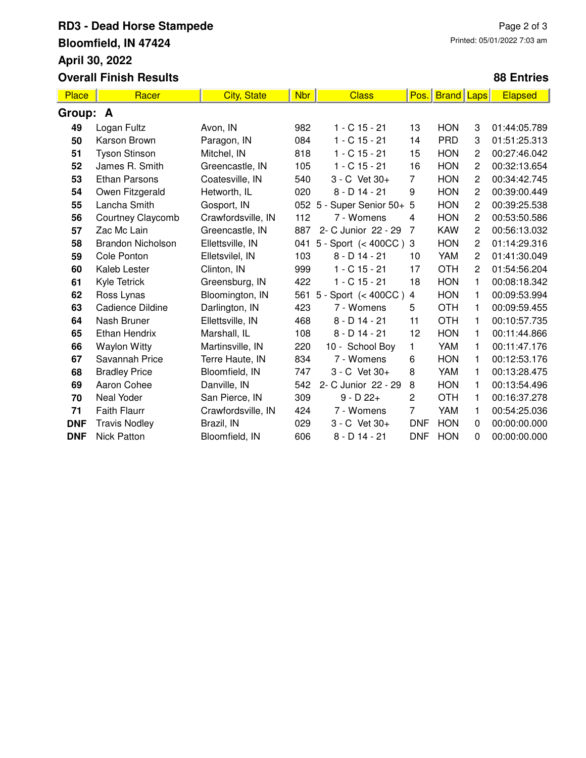# **RD3 - Dead Horse Stampede Bloomfield, IN 47424 April 30, 2022 Overall Finish Results**

### **88 Entries**

| <b>Place</b> | Racer                    | <b>City, State</b> | <b>Nbr</b> | <b>Class</b>               | Pos.           | <b>Brand</b> | <b>Laps</b>    | <b>Elapsed</b> |
|--------------|--------------------------|--------------------|------------|----------------------------|----------------|--------------|----------------|----------------|
| Group: A     |                          |                    |            |                            |                |              |                |                |
| 49           | Logan Fultz              | Avon, IN           | 982        | $1 - C$ 15 - 21            | 13             | <b>HON</b>   | 3              | 01:44:05.789   |
| 50           | Karson Brown             | Paragon, IN        | 084        | $1 - C$ 15 - 21            | 14             | <b>PRD</b>   | 3              | 01:51:25.313   |
| 51           | <b>Tyson Stinson</b>     | Mitchel, IN        | 818        | $1 - C$ 15 - 21            | 15             | <b>HON</b>   | $\overline{c}$ | 00:27:46.042   |
| 52           | James R. Smith           | Greencastle, IN    | 105        | $1 - C$ 15 - 21            | 16             | <b>HON</b>   | $\overline{c}$ | 00:32:13.654   |
| 53           | <b>Ethan Parsons</b>     | Coatesville, IN    | 540        | 3 - C Vet 30+              | $\overline{7}$ | <b>HON</b>   | $\overline{c}$ | 00:34:42.745   |
| 54           | Owen Fitzgerald          | Hetworth, IL       | 020        | $8 - D$ 14 - 21            | 9              | <b>HON</b>   | $\overline{c}$ | 00:39:00.449   |
| 55           | Lancha Smith             | Gosport, IN        |            | 052 5 - Super Senior 50+ 5 |                | <b>HON</b>   | $\overline{c}$ | 00:39:25.538   |
| 56           | Courtney Claycomb        | Crawfordsville, IN | 112        | 7 - Womens                 | 4              | <b>HON</b>   | $\overline{c}$ | 00:53:50.586   |
| 57           | Zac Mc Lain              | Greencastle, IN    | 887        | 2- C Junior 22 - 29        | 7              | <b>KAW</b>   | $\overline{c}$ | 00:56:13.032   |
| 58           | <b>Brandon Nicholson</b> | Ellettsville, IN   | 041        | 5 - Sport $(400CC)$ 3      |                | <b>HON</b>   | $\overline{c}$ | 01:14:29.316   |
| 59           | Cole Ponton              | Elletsvilel, IN    | 103        | $8 - D$ 14 - 21            | 10             | YAM          | $\overline{c}$ | 01:41:30.049   |
| 60           | Kaleb Lester             | Clinton, IN        | 999        | $1 - C$ 15 - 21            | 17             | <b>OTH</b>   | $\overline{c}$ | 01:54:56.204   |
| 61           | Kyle Tetrick             | Greensburg, IN     | 422        | $1 - C$ 15 - 21            | 18             | <b>HON</b>   | 1              | 00:08:18.342   |
| 62           | Ross Lynas               | Bloomington, IN    | 561        | 5 - Sport $(< 400CC)$      | $\overline{4}$ | <b>HON</b>   | 1              | 00:09:53.994   |
| 63           | Cadience Dildine         | Darlington, IN     | 423        | 7 - Womens                 | 5              | <b>OTH</b>   | 1              | 00:09:59.455   |
| 64           | Nash Bruner              | Ellettsville, IN   | 468        | $8 - D$ 14 - 21            | 11             | <b>OTH</b>   | 1              | 00:10:57.735   |
| 65           | <b>Ethan Hendrix</b>     | Marshall, IL       | 108        | $8 - D$ 14 - 21            | 12             | <b>HON</b>   | 1              | 00:11:44.866   |
| 66           | <b>Waylon Witty</b>      | Martinsville, IN   | 220        | 10 - School Boy            | 1              | YAM          | 1              | 00:11:47.176   |
| 67           | Savannah Price           | Terre Haute, IN    | 834        | 7 - Womens                 | 6              | <b>HON</b>   | 1              | 00:12:53.176   |
| 68           | <b>Bradley Price</b>     | Bloomfield, IN     | 747        | 3 - C Vet 30+              | 8              | YAM          | 1              | 00:13:28.475   |
| 69           | Aaron Cohee              | Danville, IN       | 542        | 2- C Junior 22 - 29        | 8              | <b>HON</b>   | 1              | 00:13:54.496   |
| 70           | Neal Yoder               | San Pierce, IN     | 309        | $9 - D 22 +$               | $\overline{c}$ | <b>OTH</b>   | 1              | 00:16:37.278   |
| 71           | <b>Faith Flaurr</b>      | Crawfordsville, IN | 424        | 7 - Womens                 | 7              | YAM          | 1              | 00:54:25.036   |
| <b>DNF</b>   | <b>Travis Nodley</b>     | Brazil, IN         | 029        | 3 - C Vet 30+              | <b>DNF</b>     | <b>HON</b>   | $\Omega$       | 00:00:00.000   |
| <b>DNF</b>   | <b>Nick Patton</b>       | Bloomfield, IN     | 606        | $8 - D$ 14 - 21            | <b>DNF</b>     | <b>HON</b>   | 0              | 00:00:00.000   |